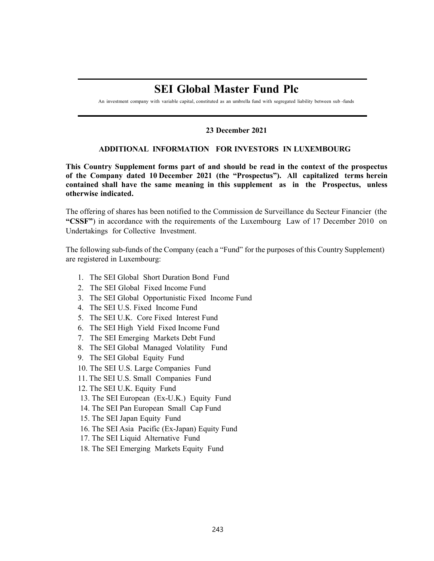## **SEI Global Master Fund Plc**

An investment company with variable capital, constituted as an umbrella fund with segregated liability between sub -funds

## **23 December 2021**

## **ADDITIONAL INFORMATION FOR INVESTORS IN LUXEMBOURG**

**This Country Supplement forms part of and should be read in the context of the prospectus of the Company dated 10 December 2021 (the "Prospectus"). All capitalized terms herein contained shall have the same meaning in this supplement as in the Prospectus, unless otherwise indicated.**

The offering of shares has been notified to the Commission de Surveillance du Secteur Financier (the **"CSSF"**) in accordance with the requirements of the Luxembourg Law of 17 December 2010 on Undertakings for Collective Investment.

The following sub-funds of the Company (each a "Fund" for the purposes of this Country Supplement) are registered in Luxembourg:

- 1. The SEI Global Short Duration Bond Fund
- 2. The SEI Global Fixed Income Fund
- 3. The SEI Global Opportunistic Fixed Income Fund
- 4. The SEI U.S. Fixed Income Fund
- 5. The SEI U.K. Core Fixed Interest Fund
- 6. The SEI High Yield Fixed Income Fund
- 7. The SEI Emerging Markets Debt Fund
- 8. The SEI Global Managed Volatility Fund
- 9. The SEI Global Equity Fund
- 10. The SEI U.S. Large Companies Fund
- 11. The SEI U.S. Small Companies Fund
- 12. The SEI U.K. Equity Fund
- 13. The SEI European (Ex-U.K.) Equity Fund
- 14. The SEI Pan European Small Cap Fund
- 15. The SEI Japan Equity Fund
- 16. The SEI Asia Pacific (Ex-Japan) Equity Fund
- 17. The SEI Liquid Alternative Fund
- 18. The SEI Emerging Markets Equity Fund